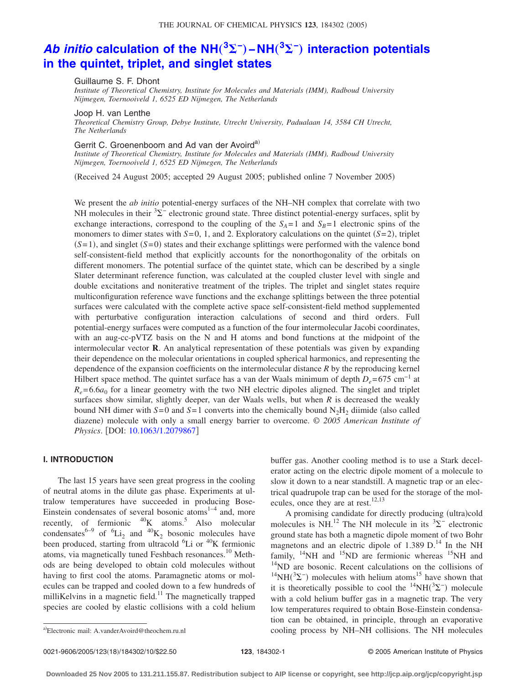# Ab initio calculation of the NH $(^3\Sigma^-)$  –NH $(^3\Sigma^-)$  [interaction potentials](http://dx.doi.org/10.1063/1.2079867) **[in the quintet, triplet, and singlet states](http://dx.doi.org/10.1063/1.2079867)**

Guillaume S. F. Dhont

*Institute of Theoretical Chemistry, Institute for Molecules and Materials (IMM), Radboud University Nijmegen, Toernooiveld 1, 6525 ED Nijmegen, The Netherlands*

Joop H. van Lenthe

*Theoretical Chemistry Group, Debye Institute, Utrecht University, Padualaan 14, 3584 CH Utrecht, The Netherlands*

Gerrit C. Groenenboom and Ad van der Avoird<sup>a)</sup>

*Institute of Theoretical Chemistry, Institute for Molecules and Materials (IMM), Radboud University Nijmegen, Toernooiveld 1, 6525 ED Nijmegen, The Netherlands*

Received 24 August 2005; accepted 29 August 2005; published online 7 November 2005-

We present the *ab initio* potential-energy surfaces of the NH–NH complex that correlate with two NH molecules in their  ${}^{3}\Sigma^{-}$  electronic ground state. Three distinct potential-energy surfaces, split by exchange interactions, correspond to the coupling of the  $S_A=1$  and  $S_B=1$  electronic spins of the monomers to dimer states with  $S=0$ , 1, and 2. Exploratory calculations on the quintet  $(S=2)$ , triplet  $(S=1)$ , and singlet  $(S=0)$  states and their exchange splittings were performed with the valence bond self-consistent-field method that explicitly accounts for the nonorthogonality of the orbitals on different monomers. The potential surface of the quintet state, which can be described by a single Slater determinant reference function, was calculated at the coupled cluster level with single and double excitations and noniterative treatment of the triples. The triplet and singlet states require multiconfiguration reference wave functions and the exchange splittings between the three potential surfaces were calculated with the complete active space self-consistent-field method supplemented with perturbative configuration interaction calculations of second and third orders. Full potential-energy surfaces were computed as a function of the four intermolecular Jacobi coordinates, with an aug-cc-pVTZ basis on the N and H atoms and bond functions at the midpoint of the intermolecular vector **R**. An analytical representation of these potentials was given by expanding their dependence on the molecular orientations in coupled spherical harmonics, and representing the dependence of the expansion coefficients on the intermolecular distance *R* by the reproducing kernel Hilbert space method. The quintet surface has a van der Waals minimum of depth *D<sub>e</sub>*=675 cm<sup>-1</sup> at  $R_e = 6.6a_0$  for a linear geometry with the two NH electric dipoles aligned. The singlet and triplet surfaces show similar, slightly deeper, van der Waals wells, but when *R* is decreased the weakly bound NH dimer with  $S=0$  and  $S=1$  converts into the chemically bound N<sub>2</sub>H<sub>2</sub> diimide (also called diazene) molecule with only a small energy barrier to overcome. © 2005 American Institute of *Physics*. [DOI: [10.1063/1.2079867](http://dx.doi.org/10.1063/1.2079867)]

# **I. INTRODUCTION**

The last 15 years have seen great progress in the cooling of neutral atoms in the dilute gas phase. Experiments at ultralow temperatures have succeeded in producing Bose-Einstein condensates of several bosonic atoms $^{1-4}$  and, more recently, of fermionic  $^{40}$ K atoms.<sup>5</sup> Also molecular condensates<sup>6-9</sup> of <sup>6</sup>Li<sub>2</sub> and <sup>40</sup>K<sub>2</sub> bosonic molecules have been produced, starting from ultracold <sup>6</sup>Li or <sup>40</sup>K fermionic atoms, via magnetically tuned Feshbach resonances.10 Methods are being developed to obtain cold molecules without having to first cool the atoms. Paramagnetic atoms or molecules can be trapped and cooled down to a few hundreds of milliKelvins in a magnetic field.<sup>11</sup> The magnetically trapped species are cooled by elastic collisions with a cold helium

buffer gas. Another cooling method is to use a Stark decelerator acting on the electric dipole moment of a molecule to slow it down to a near standstill. A magnetic trap or an electrical quadrupole trap can be used for the storage of the molecules, once they are at rest.<sup>12,13</sup>

A promising candidate for directly producing (ultra)cold molecules is NH.<sup>12</sup> The NH molecule in its  ${}^{3}\Sigma^{-}$  electronic ground state has both a magnetic dipole moment of two Bohr magnetons and an electric dipole of  $1.389$  D.<sup>14</sup> In the NH family,  $^{14}$ NH and  $^{15}$ ND are fermionic whereas  $^{15}$ NH and <sup>14</sup>ND are bosonic. Recent calculations on the collisions of  $^{14}NH(^{3}\Sigma^{-})$  molecules with helium atoms<sup>15</sup> have shown that it is theoretically possible to cool the  ${}^{14}NH({}^{3}\Sigma^{-})$  molecule with a cold helium buffer gas in a magnetic trap. The very low temperatures required to obtain Bose-Einstein condensation can be obtained, in principle, through an evaporative cooling process by NH–NH collisions. The NH molecules

Electronic mail: A.vanderAvoird@theochem.ru.nl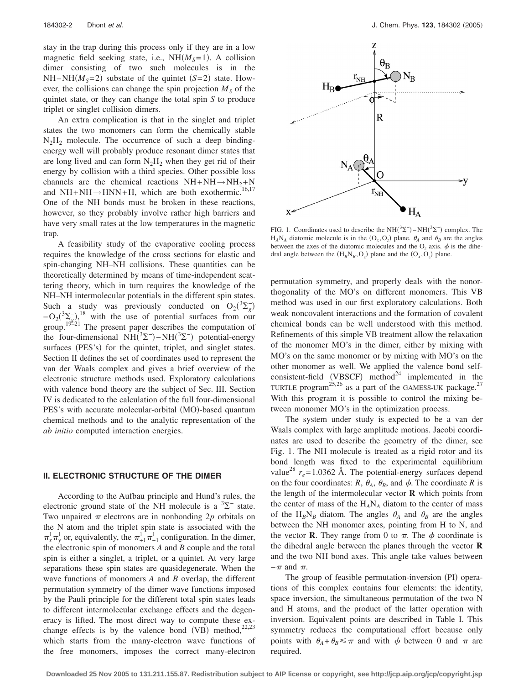stay in the trap during this process only if they are in a low magnetic field seeking state, i.e.,  $NH(M<sub>S</sub>=1)$ . A collision dimer consisting of two such molecules is in the  $NH-MH(M<sub>S</sub>=2)$  substate of the quintet *(S=2)* state. However, the collisions can change the spin projection  $M<sub>S</sub>$  of the quintet state, or they can change the total spin *S* to produce triplet or singlet collision dimers.

An extra complication is that in the singlet and triplet states the two monomers can form the chemically stable  $N_2H_2$  molecule. The occurrence of such a deep bindingenergy well will probably produce resonant dimer states that are long lived and can form  $N_2H_2$  when they get rid of their energy by collision with a third species. Other possible loss channels are the chemical reactions  $NH + NH \rightarrow NH_2 + N$ and  $NH + NH \rightarrow HNN+H$ , which are both exothermic.<sup>16,17</sup> One of the NH bonds must be broken in these reactions, however, so they probably involve rather high barriers and have very small rates at the low temperatures in the magnetic trap.

A feasibility study of the evaporative cooling process requires the knowledge of the cross sections for elastic and spin-changing NH–NH collisions. These quantities can be theoretically determined by means of time-independent scattering theory, which in turn requires the knowledge of the NH–NH intermolecular potentials in the different spin states. Such a study was previously conducted on  $O_2(^3\Sigma_g^-)$  $-\mathrm{O_2}(\frac{3\Sigma_7}{100})$ <sup>18</sup> with the use of potential surfaces from our group.<sup>19221</sup> The present paper describes the computation of the four-dimensional  $NH(^{3}\Sigma^{-})-NH(^{3}\Sigma^{-})$  potential-energy surfaces (PES's) for the quintet, triplet, and singlet states. Section II defines the set of coordinates used to represent the van der Waals complex and gives a brief overview of the electronic structure methods used. Exploratory calculations with valence bond theory are the subject of Sec. III. Section IV is dedicated to the calculation of the full four-dimensional PES's with accurate molecular-orbital (MO)-based quantum chemical methods and to the analytic representation of the *ab initio* computed interaction energies.

# **II. ELECTRONIC STRUCTURE OF THE DIMER**

According to the Aufbau principle and Hund's rules, the electronic ground state of the NH molecule is a  ${}^{3}\Sigma^{-}$  state. Two unpaired  $\pi$  electrons are in nonbonding 2 $p$  orbitals on the N atom and the triplet spin state is associated with the  $\pi^1_x \pi^1_y$  or, equivalently, the  $\pi^1_{+1} \pi^1_{-1}$  configuration. In the dimer, the electronic spin of monomers *A* and *B* couple and the total spin is either a singlet, a triplet, or a quintet. At very large separations these spin states are quasidegenerate. When the wave functions of monomers *A* and *B* overlap, the different permutation symmetry of the dimer wave functions imposed by the Pauli principle for the different total spin states leads to different intermolecular exchange effects and the degeneracy is lifted. The most direct way to compute these exchange effects is by the valence bond (VB) method,<sup>22,23</sup> which starts from the many-electron wave functions of the free monomers, imposes the correct many-electron



FIG. 1. Coordinates used to describe the NH( ${}^{3}\Sigma^{-}$ ) –NH( ${}^{3}\Sigma^{-}$ ) complex. The  $H_A N_A$  diatomic molecule is in the  $(O_x, O_z)$  plane.  $\theta_A$  and  $\theta_B$  are the angles between the axes of the diatomic molecules and the  $O<sub>z</sub>$  axis.  $\phi$  is the dihedral angle between the  $(H_B N_B, O_z)$  plane and the  $(O_x, O_z)$  plane.

permutation symmetry, and properly deals with the nonorthogonality of the MO's on different monomers. This VB method was used in our first exploratory calculations. Both weak noncovalent interactions and the formation of covalent chemical bonds can be well understood with this method. Refinements of this simple VB treatment allow the relaxation of the monomer MO's in the dimer, either by mixing with MO's on the same monomer or by mixing with MO's on the other monomer as well. We applied the valence bond selfconsistent-field (VBSCF) method<sup>24</sup> implemented in the TURTLE program<sup>25,26</sup> as a part of the GAMESS-UK package.<sup>27</sup> With this program it is possible to control the mixing between monomer MO's in the optimization process.

The system under study is expected to be a van der Waals complex with large amplitude motions. Jacobi coordinates are used to describe the geometry of the dimer, see Fig. 1. The NH molecule is treated as a rigid rotor and its bond length was fixed to the experimental equilibrium value<sup>28</sup>  $r_e$ =1.0362 Å. The potential-energy surfaces depend on the four coordinates: *R*,  $\theta_A$ ,  $\theta_B$ , and  $\phi$ . The coordinate *R* is the length of the intermolecular vector **R** which points from the center of mass of the  $H_A N_A$  diatom to the center of mass of the  $H_B N_B$  diatom. The angles  $\theta_A$  and  $\theta_B$  are the angles between the NH monomer axes, pointing from H to N, and the vector **R**. They range from 0 to  $\pi$ . The  $\phi$  coordinate is the dihedral angle between the planes through the vector **R** and the two NH bond axes. This angle take values between  $-\pi$  and  $\pi$ .

The group of feasible permutation-inversion (PI) operations of this complex contains four elements: the identity, space inversion, the simultaneous permutation of the two N and H atoms, and the product of the latter operation with inversion. Equivalent points are described in Table I. This symmetry reduces the computational effort because only points with  $\theta_A + \theta_B \leq \pi$  and with  $\phi$  between 0 and  $\pi$  are required.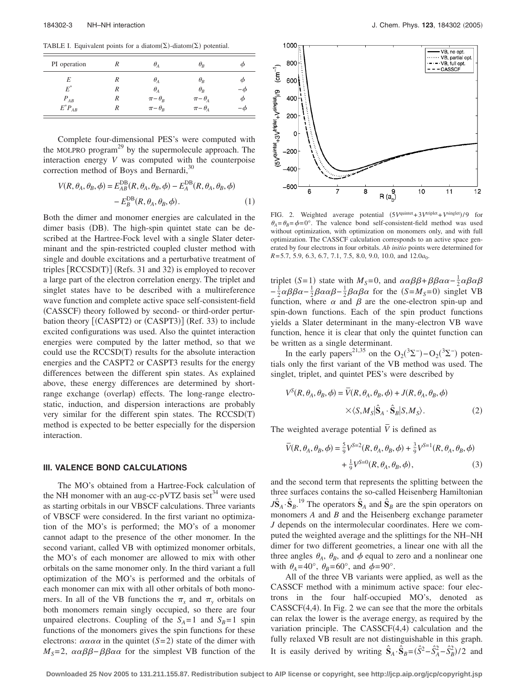TABLE I. Equivalent points for a diatom( $\Sigma$ )-diatom( $\Sigma$ ) potential.

| PI operation |   | $\theta_{\scriptscriptstyle{A}}$ | $\theta_R$                          |           |
|--------------|---|----------------------------------|-------------------------------------|-----------|
| E            | R | $\theta_{\scriptscriptstyle{A}}$ | $\theta_R$                          | Φ         |
| $E^*$        | R | $\theta_{A}$                     | $\theta_R$                          | $-\omega$ |
| $P_{AB}$     | R | $\pi-\theta_R$                   | $\pi-\theta_A$                      | φ         |
| $E^*P_{AB}$  |   | $\pi-\theta_{R}$                 | $\pi-\theta_{\scriptscriptstyle A}$ | - 0       |

Complete four-dimensional PES's were computed with the MOLPRO program<sup>29</sup> by the supermolecule approach. The interaction energy *V* was computed with the counterpoise correction method of Boys and Bernardi, $30$ 

$$
V(R, \theta_A, \theta_B, \phi) = E_{AB}^{DB}(R, \theta_A, \theta_B, \phi) - E_A^{DB}(R, \theta_A, \theta_B, \phi)
$$

$$
- E_B^{DB}(R, \theta_A, \theta_B, \phi).
$$
(1)

Both the dimer and monomer energies are calculated in the dimer basis (DB). The high-spin quintet state can be described at the Hartree-Fock level with a single Slater determinant and the spin-restricted coupled cluster method with single and double excitations and a perturbative treatment of triples  $[RCCSD(T)]$  (Refs. 31 and 32) is employed to recover a large part of the electron correlation energy. The triplet and singlet states have to be described with a multireference wave function and complete active space self-consistent-field (CASSCF) theory followed by second- or third-order perturbation theory [(CASPT2) or (CASPT3)] (Ref. 33) to include excited configurations was used. Also the quintet interaction energies were computed by the latter method, so that we could use the RCCSD(T) results for the absolute interaction energies and the CASPT2 or CASPT3 results for the energy differences between the different spin states. As explained above, these energy differences are determined by shortrange exchange (overlap) effects. The long-range electrostatic, induction, and dispersion interactions are probably very similar for the different spin states. The RCCSD(T) method is expected to be better especially for the dispersion interaction.

#### **III. VALENCE BOND CALCULATIONS**

The MO's obtained from a Hartree-Fock calculation of the NH monomer with an aug-cc-pVTZ basis set<sup>34</sup> were used as starting orbitals in our VBSCF calculations. Three variants of VBSCF were considered. In the first variant no optimization of the MO's is performed; the MO's of a monomer cannot adapt to the presence of the other monomer. In the second variant, called VB with optimized monomer orbitals, the MO's of each monomer are allowed to mix with other orbitals on the same monomer only. In the third variant a full optimization of the MO's is performed and the orbitals of each monomer can mix with all other orbitals of both monomers. In all of the VB functions the  $\pi_x$  and  $\pi_y$  orbitals on both monomers remain singly occupied, so there are four unpaired electrons. Coupling of the  $S_A = 1$  and  $S_B = 1$  spin functions of the monomers gives the spin functions for these electrons:  $\alpha \alpha \alpha \alpha$  in the quintet  $(S=2)$  state of the dimer with  $M<sub>S</sub>=2$ ,  $\alpha\alpha\beta\beta-\beta\beta\alpha\alpha$  for the simplest VB function of the



FIG. 2. Weighted average potential  $(5V^{\text{quintet}}+3V^{\text{triplet}}+V^{\text{singlet}})/9$  for  $heta_A = h_B = \phi = 0^\circ$ . The valence bond self-consistent-field method was used without optimization, with optimization on monomers only, and with full optimization. The CASSCF calculation corresponds to an active space generated by four electrons in four orbitals. *Ab initio* points were determined for *R*=5.7, 5.9, 6.3, 6.7, 7.1, 7.5, 8.0, 9.0, 10.0, and 12.0*a*<sub>0</sub>.

triplet  $(S=1)$  state with  $M_S=0$ , and  $\alpha \alpha \beta \beta + \beta \beta \alpha \alpha - \frac{1}{2} \alpha \beta \alpha \beta$  $-\frac{1}{2}\alpha\beta\beta\alpha - \frac{1}{2}\beta\alpha\alpha\beta - \frac{1}{2}\beta\alpha\beta\alpha$  for the  $(S=M_S=0)$  singlet VB function, where  $\alpha$  and  $\beta$  are the one-electron spin-up and spin-down functions. Each of the spin product functions yields a Slater determinant in the many-electron VB wave function, hence it is clear that only the quintet function can be written as a single determinant.

In the early papers<sup>21,35</sup> on the  $O_2(^3\Sigma^-) - O_2(^3\Sigma^-)$  potentials only the first variant of the VB method was used. The singlet, triplet, and quintet PES's were described by

$$
V^{S}(R, \theta_{A}, \theta_{B}, \phi) = \overline{V}(R, \theta_{A}, \theta_{B}, \phi) + J(R, \theta_{A}, \theta_{B}, \phi)
$$

$$
\times \langle S, M_{S} | \hat{S}_{A} \cdot \hat{S}_{B} | S, M_{S} \rangle.
$$
 (2)

The weighted average potential  $\bar{V}$  is defined as

$$
\bar{V}(R, \theta_A, \theta_B, \phi) = \frac{5}{9} V^{S=2}(R, \theta_A, \theta_B, \phi) + \frac{3}{9} V^{S=1}(R, \theta_A, \theta_B, \phi) + \frac{1}{9} V^{S=0}(R, \theta_A, \theta_B, \phi),
$$
\n(3)

and the second term that represents the splitting between the three surfaces contains the so-called Heisenberg Hamiltonian  $J\hat{\mathbf{S}}_A \cdot \hat{\mathbf{S}}_B$ <sup>19</sup> The operators  $\hat{\mathbf{S}}_A$  and  $\hat{\mathbf{S}}_B$  are the spin operators on monomers *A* and *B* and the Heisenberg exchange parameter *J* depends on the intermolecular coordinates. Here we computed the weighted average and the splittings for the NH–NH dimer for two different geometries, a linear one with all the three angles  $\theta_A$ ,  $\theta_B$ , and  $\phi$  equal to zero and a nonlinear one with  $\theta_A = 40^\circ$ ,  $\theta_B = 60^\circ$ , and  $\phi = 90^\circ$ .

All of the three VB variants were applied, as well as the CASSCF method with a minimum active space: four electrons in the four half-occupied MO's, denoted as  $CASSCF(4,4)$ . In Fig. 2 we can see that the more the orbitals can relax the lower is the average energy, as required by the variation principle. The  $CASSCF(4,4)$  calculation and the fully relaxed VB result are not distinguishable in this graph. It is easily derived by writing  $\hat{S}_A \cdot \hat{S}_B = (\hat{S}^2 - \hat{S}_A^2 - \hat{S}_B^2)/2$  and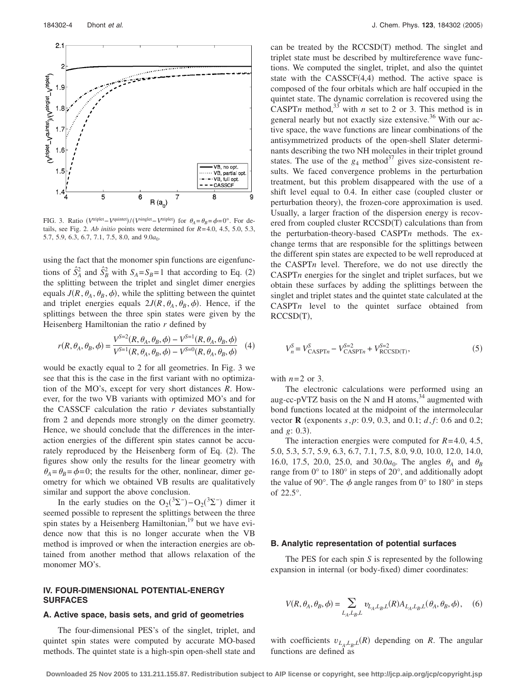![](_page_3_Figure_1.jpeg)

FIG. 3. Ratio  $(V^{\text{triplet}} - V^{\text{quintet}})/(V^{\text{singlet}} - V^{\text{triplet}})$  for  $\theta_A = \theta_B = \phi = 0^\circ$ . For details, see Fig. 2. *Ab initio* points were determined for *R*=4.0, 4.5, 5.0, 5.3, 5.7, 5.9, 6.3, 6.7, 7.1, 7.5, 8.0, and  $9.0a_0$ .

using the fact that the monomer spin functions are eigenfunctions of  $\hat{S}_A^2$  and  $\hat{S}_B^2$  with  $S_A = S_B = 1$  that according to Eq. (2) the splitting between the triplet and singlet dimer energies equals  $J(R, \theta_A, \theta_B, \phi)$ , while the splitting between the quintet and triplet energies equals  $2J(R, \theta_A, \theta_B, \phi)$ . Hence, if the splittings between the three spin states were given by the Heisenberg Hamiltonian the ratio *r* defined by

$$
r(R, \theta_A, \theta_B, \phi) = \frac{V^{S=2}(R, \theta_A, \theta_B, \phi) - V^{S=1}(R, \theta_A, \theta_B, \phi)}{V^{S=1}(R, \theta_A, \theta_B, \phi) - V^{S=0}(R, \theta_A, \theta_B, \phi)}
$$
(4)

would be exactly equal to 2 for all geometries. In Fig. 3 we see that this is the case in the first variant with no optimization of the MO's, except for very short distances *R*. However, for the two VB variants with optimized MO's and for the CASSCF calculation the ratio *r* deviates substantially from 2 and depends more strongly on the dimer geometry. Hence, we should conclude that the differences in the interaction energies of the different spin states cannot be accurately reproduced by the Heisenberg form of Eq. (2). The figures show only the results for the linear geometry with  $heta_A = h_B = \phi = 0$ ; the results for the other, nonlinear, dimer geometry for which we obtained VB results are qualitatively similar and support the above conclusion.

In the early studies on the  $O_2(^3\Sigma^-) - O_2(^3\Sigma^-)$  dimer it seemed possible to represent the splittings between the three spin states by a Heisenberg Hamiltonian,<sup>19</sup> but we have evidence now that this is no longer accurate when the VB method is improved or when the interaction energies are obtained from another method that allows relaxation of the monomer MO's.

# **IV. FOUR-DIMENSIONAL POTENTIAL-ENERGY SURFACES**

# **A. Active space, basis sets, and grid of geometries**

The four-dimensional PES's of the singlet, triplet, and quintet spin states were computed by accurate MO-based methods. The quintet state is a high-spin open-shell state and

can be treated by the RCCSD(T) method. The singlet and triplet state must be described by multireference wave functions. We computed the singlet, triplet, and also the quintet state with the  $CASSCF(4,4)$  method. The active space is composed of the four orbitals which are half occupied in the quintet state. The dynamic correlation is recovered using the CASPT*n* method,<sup>33</sup> with *n* set to 2 or 3. This method is in general nearly but not exactly size extensive.<sup>36</sup> With our active space, the wave functions are linear combinations of the antisymmetrized products of the open-shell Slater determinants describing the two NH molecules in their triplet ground states. The use of the  $g_4$  method<sup>37</sup> gives size-consistent results. We faced convergence problems in the perturbation treatment, but this problem disappeared with the use of a shift level equal to 0.4. In either case (coupled cluster or perturbation theory), the frozen-core approximation is used. Usually, a larger fraction of the dispersion energy is recovered from coupled cluster RCCSD(T) calculations than from the perturbation-theory-based CASPT*n* methods. The exchange terms that are responsible for the splittings between the different spin states are expected to be well reproduced at the CASPT*n* level. Therefore, we do not use directly the CASPT*n* energies for the singlet and triplet surfaces, but we obtain these surfaces by adding the splittings between the singlet and triplet states and the quintet state calculated at the CASPT*n* level to the quintet surface obtained from RCCSD(T),

$$
V_n^S = V_{\text{CASPT}n}^S - V_{\text{CASPT}n}^{S=2} + V_{\text{RCCSD(T)}}^{S=2},\tag{5}
$$

with  $n=2$  or 3.

The electronic calculations were performed using an aug-cc-pVTZ basis on the N and H atoms, $34$  augmented with bond functions located at the midpoint of the intermolecular vector **R** (exponents *s*, *p*: 0.9, 0.3, and 0.1; *d*, *f*: 0.6 and 0.2; and  $g: 0.3$ ).

The interaction energies were computed for *R*=4.0, 4.5, 5.0, 5.3, 5.7, 5.9, 6.3, 6.7, 7.1, 7.5, 8.0, 9.0, 10.0, 12.0, 14.0, 16.0, 17.5, 20.0, 25.0, and 30.0 $a_0$ . The angles  $\theta_A$  and  $\theta_B$ range from 0° to 180° in steps of 20°, and additionally adopt the value of 90°. The  $\phi$  angle ranges from 0° to 180° in steps of 22.5°.

#### **B. Analytic representation of potential surfaces**

The PES for each spin *S* is represented by the following expansion in internal (or body-fixed) dimer coordinates:

$$
V(R, \theta_A, \theta_B, \phi) = \sum_{L_A, L_B, L} v_{L_A, L_B, L}(R) A_{L_A, L_B, L}(\theta_A, \theta_B, \phi), \quad (6)
$$

with coefficients  $v_{L_A, L_B, L}(R)$  depending on *R*. The angular functions are defined as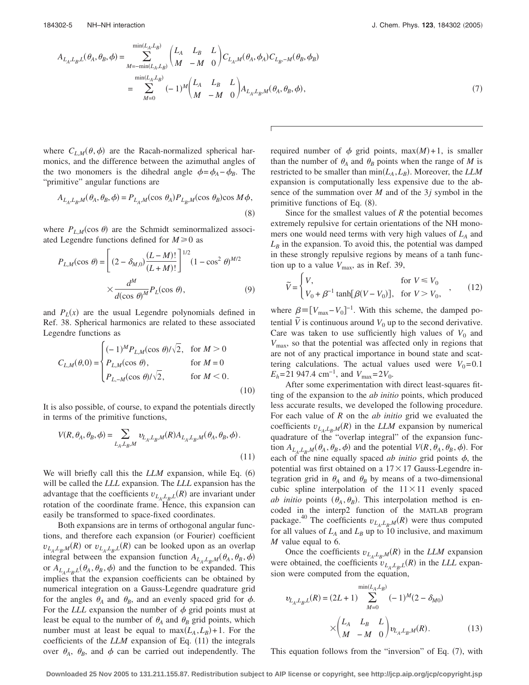$$
A_{L_A, L_B, L}(\theta_A, \theta_B, \phi) = \sum_{M = -\min(L_A, L_B)}^{\min(L_A, L_B)} \begin{pmatrix} L_A & L_B & L \\ M & -M & 0 \end{pmatrix} C_{L_A, M}(\theta_A, \phi_A) C_{L_B, -M}(\theta_B, \phi_B)
$$
  

$$
= \sum_{M = 0}^{\min(L_A, L_B)} (-1)^M \begin{pmatrix} L_A & L_B & L \\ M & -M & 0 \end{pmatrix} A_{L_A, L_B, M}(\theta_A, \theta_B, \phi), \tag{7}
$$

where  $C_{L,M}(\theta, \phi)$  are the Racah-normalized spherical harmonics, and the difference between the azimuthal angles of the two monomers is the dihedral angle  $\phi = \phi_A - \phi_B$ . The "primitive" angular functions are

$$
A_{L_A, L_B, M}(\theta_A, \theta_B, \phi) = P_{L_A, M}(\cos \theta_A) P_{L_B, M}(\cos \theta_B) \cos M \phi,
$$
\n(8)

where  $P_{L,M}(\cos \theta)$  are the Schmidt seminormalized associated Legendre functions defined for  $M \ge 0$  as

$$
P_{L,M}(\cos \theta) = \left[ (2 - \delta_{M,0}) \frac{(L - M)!}{(L + M)!} \right]^{1/2} (1 - \cos^2 \theta)^{M/2}
$$

$$
\times \frac{d^M}{d(\cos \theta)^M} P_L(\cos \theta), \tag{9}
$$

and  $P<sub>L</sub>(x)$  are the usual Legendre polynomials defined in Ref. 38. Spherical harmonics are related to these associated Legendre functions as

$$
C_{L,M}(\theta,0) = \begin{cases} (-1)^M P_{L,M}(\cos \theta) / \sqrt{2}, & \text{for } M > 0\\ P_{L,M}(\cos \theta), & \text{for } M = 0\\ P_{L,-M}(\cos \theta) / \sqrt{2}, & \text{for } M < 0. \end{cases}
$$
(10)

It is also possible, of course, to expand the potentials directly in terms of the primitive functions,

$$
V(R,\theta_A,\theta_B,\phi)=\sum_{L_A,L_B,M}\upsilon_{L_A,L_B,M}(R)A_{L_A,L_B,M}(\theta_A,\theta_B,\phi)\,. \eqno(11)
$$

We will briefly call this the *LLM* expansion, while Eq. (6) will be called the *LLL* expansion. The *LLL* expansion has the advantage that the coefficients  $v_{L_A, L_B, L}(R)$  are invariant under rotation of the coordinate frame. Hence, this expansion can easily be transformed to space-fixed coordinates.

Both expansions are in terms of orthogonal angular functions, and therefore each expansion (or Fourier) coefficient  $v_{L_A, L_B, M}(R)$  or  $v_{L_A, L_B, L}(R)$  can be looked upon as an overlap integral between the expansion function  $A_{L_A,L_B,M}(\theta_A,\theta_B,\phi)$ or  $A_{L_A,L_B,L}(\theta_A, \theta_B, \phi)$  and the function to be expanded. This implies that the expansion coefficients can be obtained by numerical integration on a Gauss-Legendre quadrature grid for the angles  $\theta_A$  and  $\theta_B$ , and an evenly spaced grid for  $\phi$ . For the *LLL* expansion the number of  $\phi$  grid points must at least be equal to the number of  $\theta_A$  and  $\theta_B$  grid points, which number must at least be equal to  $max(L_A, L_B) + 1$ . For the coefficients of the  $LLM$  expansion of Eq.  $(11)$  the integrals over  $\theta_A$ ,  $\theta_B$ , and  $\phi$  can be carried out independently. The

required number of  $\phi$  grid points, max $(M)+1$ , is smaller than the number of  $\theta_A$  and  $\theta_B$  points when the range of *M* is restricted to be smaller than  $min(L_A, L_B)$ . Moreover, the *LLM* expansion is computationally less expensive due to the absence of the summation over *M* and of the 3*j* symbol in the primitive functions of Eq. (8).

Since for the smallest values of *R* the potential becomes extremely repulsive for certain orientations of the NH monomers one would need terms with very high values of  $L_A$  and  $L_B$  in the expansion. To avoid this, the potential was damped in these strongly repulsive regions by means of a tanh function up to a value  $V_{\text{max}}$ , as in Ref. 39,

$$
\widetilde{V} = \begin{cases} V, & \text{for } V \le V_0 \\ V_0 + \beta^{-1} \tanh[\beta(V - V_0)], & \text{for } V > V_0, \end{cases}
$$
 (12)

where  $\beta = [V_{\text{max}} - V_0]^{-1}$ . With this scheme, the damped potential  $\tilde{V}$  is continuous around  $V_0$  up to the second derivative. Care was taken to use sufficiently high values of  $V_0$  and *V*max, so that the potential was affected only in regions that are not of any practical importance in bound state and scattering calculations. The actual values used were  $V_0 = 0.1$ *E<sub>h</sub>*=21 947.4 cm<sup>-1</sup>, and  $V_{\text{max}}=2V_0$ .

After some experimentation with direct least-squares fitting of the expansion to the *ab initio* points, which produced less accurate results, we developed the following procedure. For each value of *R* on the *ab initio* grid we evaluated the coefficients  $v_{L_A,L_B,M}(R)$  in the *LLM* expansion by numerical quadrature of the "overlap integral" of the expansion function  $A_{L_A,L_B,M}(\theta_A,\theta_B,\phi)$  and the potential  $V(R, \theta_A, \theta_B, \phi)$ . For each of the nine equally spaced *ab initio* grid points  $\phi$ , the potential was first obtained on a  $17 \times 17$  Gauss-Legendre integration grid in  $\theta_A$  and  $\theta_B$  by means of a two-dimensional cubic spline interpolation of the  $11 \times 11$  evenly spaced *ab initio* points  $(\theta_A, \theta_B)$ . This interpolation method is encoded in the interp2 function of the MATLAB program package.<sup>40</sup> The coefficients  $v_{L_A, L_B, M}(R)$  were thus computed for all values of  $L_A$  and  $L_B$  up to 10 inclusive, and maximum *M* value equal to 6.

Once the coefficients  $v_{L_A, L_B, M}(R)$  in the *LLM* expansion were obtained, the coefficients  $v_{L_A, L_B, L}(R)$  in the *LLL* expansion were computed from the equation,

$$
v_{L_A, L_B, L}(R) = (2L+1) \sum_{M=0}^{\min(L_A, L_B)} (-1)^M (2 - \delta_{M0})
$$

$$
\times \begin{pmatrix} L_A & L_B & L \\ M & -M & 0 \end{pmatrix} v_{L_A, L_B, M}(R). \tag{13}
$$

This equation follows from the "inversion" of Eq. (7), with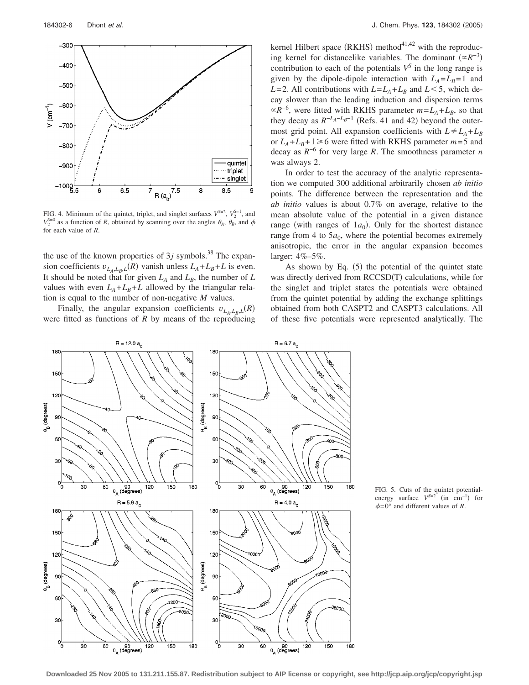![](_page_5_Figure_1.jpeg)

FIG. 4. Minimum of the quintet, triplet, and singlet surfaces  $V^{S=2}$ ,  $V_2^{S=1}$ , and  $V_2^{S=0}$  as a function of *R*, obtained by scanning over the angles  $\theta_A$ ,  $\theta_B$ , and  $\phi$ for each value of *R*.

the use of the known properties of  $3j$  symbols.<sup>38</sup> The expansion coefficients  $v_{L_A, L_B, L}(R)$  vanish unless  $L_A + L_B + L$  is even. It should be noted that for given  $L_A$  and  $L_B$ , the number of  $L_B$ values with even  $L_A + L_B + L$  allowed by the triangular relation is equal to the number of non-negative *M* values.

Finally, the angular expansion coefficients  $v_{L_A, L_B, L}(R)$ were fitted as functions of *R* by means of the reproducing

kernel Hilbert space (RKHS) method $4^{1,42}$  with the reproducing kernel for distancelike variables. The dominant  $(\alpha R^{-3})$ contribution to each of the potentials  $V^S$  in the long range is given by the dipole-dipole interaction with  $L_A = L_B = 1$  and *L*=2. All contributions with  $L = L_A + L_B$  and  $L < 5$ , which decay slower than the leading induction and dispersion terms  $\propto R^{-6}$ , were fitted with RKHS parameter  $m = L_A + L_B$ , so that they decay as  $R^{-L_A - L_B - 1}$  (Refs. 41 and 42) beyond the outermost grid point. All expansion coefficients with  $L \neq L_A + L_B$ or  $L_A + L_B + 1 \ge 6$  were fitted with RKHS parameter  $m = 5$  and decay as *R*−6 for very large *R*. The smoothness parameter *n* was always 2.

In order to test the accuracy of the analytic representation we computed 300 additional arbitrarily chosen *ab initio* points. The difference between the representation and the *ab initio* values is about 0.7% on average, relative to the mean absolute value of the potential in a given distance range (with ranges of  $1a_0$ ). Only for the shortest distance range from 4 to  $5a_0$ , where the potential becomes extremely anisotropic, the error in the angular expansion becomes larger: 4%–5%.

As shown by Eq.  $(5)$  the potential of the quintet state was directly derived from RCCSD(T) calculations, while for the singlet and triplet states the potentials were obtained from the quintet potential by adding the exchange splittings obtained from both CASPT2 and CASPT3 calculations. All of these five potentials were represented analytically. The

![](_page_5_Figure_9.jpeg)

FIG. 5. Cuts of the quintet potentialenergy surface  $V^{S=2}$  (in cm<sup>-1</sup>) for  $\phi$ =0° and different values of *R*.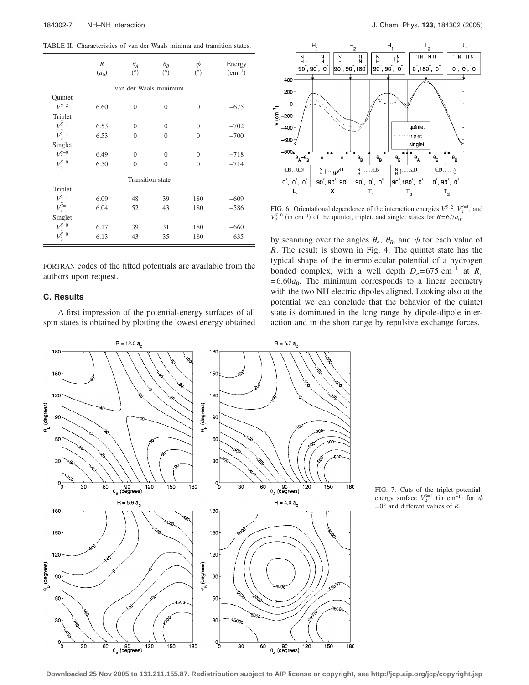TABLE II. Characteristics of van der Waals minima and transition states.

|                            | R<br>$(a_0)$ | $\theta_A$<br>(°) | $\theta_R$<br>(°) | $\phi$<br>(°)  | Energy<br>$(cm^{-1})$ |  |  |  |  |
|----------------------------|--------------|-------------------|-------------------|----------------|-----------------------|--|--|--|--|
| van der Waals minimum      |              |                   |                   |                |                       |  |  |  |  |
| Quintet                    |              |                   |                   |                |                       |  |  |  |  |
| $V^{S=2}$                  | 6.60         | $\overline{0}$    | $\theta$          | $\overline{0}$ | $-675$                |  |  |  |  |
| Triplet                    |              |                   |                   |                |                       |  |  |  |  |
| $V_2^{S=1}$                | 6.53         | $\theta$          | $\Omega$          | $\overline{0}$ | $-702$                |  |  |  |  |
| $V_3^{\bar{S}=1}$          | 6.53         | $\overline{0}$    | $\mathbf{0}$      | $\overline{0}$ | $-700$                |  |  |  |  |
| Singlet                    |              |                   |                   |                |                       |  |  |  |  |
|                            | 6.49         | $\theta$          | $\Omega$          | $\theta$       | $-718$                |  |  |  |  |
| $V_2^{S=0}$<br>$V_3^{S=0}$ | 6.50         | $\theta$          | $\theta$          | $\theta$       | $-714$                |  |  |  |  |
| <b>Transition</b> state    |              |                   |                   |                |                       |  |  |  |  |
| Triplet                    |              |                   |                   |                |                       |  |  |  |  |
| $V_2^{S=1}$                | 6.09         | 48                | 39                | 180            | $-609$                |  |  |  |  |
| $V_3^{\mathcal{S}=1}$      | 6.04         | 52                | 43                | 180            | $-586$                |  |  |  |  |
| Singlet                    |              |                   |                   |                |                       |  |  |  |  |
| $V_2^{\text{S=0}}$         | 6.17         | 39                | 31                | 180            | $-660$                |  |  |  |  |
| $V_3^{\text{S=0}}$         | 6.13         | 43                | 35                | 180            | $-635$                |  |  |  |  |

FORTRAN codes of the fitted potentials are available from the authors upon request.

# **C. Results**

A first impression of the potential-energy surfaces of all spin states is obtained by plotting the lowest energy obtained

![](_page_6_Figure_7.jpeg)

FIG. 6. Orientational dependence of the interaction energies  $V^{S=2}$ ,  $V_2^{S=1}$ , and  $V_2^{\text{S}=0}$  (in cm<sup>-1</sup>) of the quintet, triplet, and singlet states for *R*=6.7*a*<sub>0</sub>,

by scanning over the angles  $\theta_A$ ,  $\theta_B$ , and  $\phi$  for each value of *R*. The result is shown in Fig. 4. The quintet state has the typical shape of the intermolecular potential of a hydrogen bonded complex, with a well depth  $D_e$ =675 cm<sup>-1</sup> at  $R_e$  $=6.60a_0$ . The minimum corresponds to a linear geometry with the two NH electric dipoles aligned. Looking also at the potential we can conclude that the behavior of the quintet state is dominated in the long range by dipole-dipole interaction and in the short range by repulsive exchange forces.

![](_page_6_Figure_10.jpeg)

FIG. 7. Cuts of the triplet potentialenergy surface  $V_2^{S=1}$  (in cm<sup>-1</sup>) for  $\phi$ =0° and different values of *R*.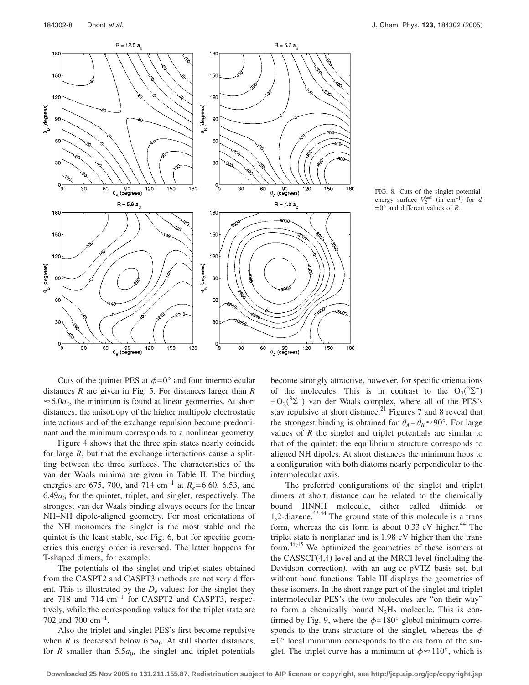![](_page_7_Figure_2.jpeg)

![](_page_7_Figure_3.jpeg)

Cuts of the quintet PES at  $\phi = 0^\circ$  and four intermolecular distances *R* are given in Fig. 5. For distances larger than *R*  $\approx 6.0a_0$ , the minimum is found at linear geometries. At short distances, the anisotropy of the higher multipole electrostatic interactions and of the exchange repulsion become predominant and the minimum corresponds to a nonlinear geometry.

Figure 4 shows that the three spin states nearly coincide for large *R*, but that the exchange interactions cause a splitting between the three surfaces. The characteristics of the van der Waals minima are given in Table II. The binding energies are 675, 700, and 714 cm<sup>-1</sup> at *R<sub>e</sub>*=6.60, 6.53, and  $6.49a<sub>0</sub>$  for the quintet, triplet, and singlet, respectively. The strongest van der Waals binding always occurs for the linear NH–NH dipole-aligned geometry. For most orientations of the NH monomers the singlet is the most stable and the quintet is the least stable, see Fig. 6, but for specific geometries this energy order is reversed. The latter happens for T-shaped dimers, for example.

The potentials of the singlet and triplet states obtained from the CASPT2 and CASPT3 methods are not very different. This is illustrated by the *De* values: for the singlet they are 718 and 714 cm−1 for CASPT2 and CASPT3, respectively, while the corresponding values for the triplet state are 702 and 700 cm−1.

Also the triplet and singlet PES's first become repulsive when *R* is decreased below  $6.5a_0$ . At still shorter distances, for *R* smaller than  $5.5a_0$ , the singlet and triplet potentials become strongly attractive, however, for specific orientations of the molecules. This is in contrast to the  $O_2(^3\Sigma^-)$  $-O_2(^3\Sigma^-)$  van der Waals complex, where all of the PES's stay repulsive at short distance.<sup>21</sup> Figures 7 and 8 reveal that the strongest binding is obtained for  $\theta_A = \theta_B \approx 90^\circ$ . For large values of *R* the singlet and triplet potentials are similar to that of the quintet: the equilibrium structure corresponds to aligned NH dipoles. At short distances the minimum hops to a configuration with both diatoms nearly perpendicular to the intermolecular axis.

The preferred configurations of the singlet and triplet dimers at short distance can be related to the chemically bound HNNH molecule, either called diimide or 1,2-diazene. $43,44$  The ground state of this molecule is a trans form, whereas the cis form is about 0.33 eV higher.<sup>44</sup> The triplet state is nonplanar and is 1.98 eV higher than the trans form.44,45 We optimized the geometries of these isomers at the CASSCF(4,4) level and at the MRCI level (including the Davidson correction), with an aug-cc-pVTZ basis set, but without bond functions. Table III displays the geometries of these isomers. In the short range part of the singlet and triplet intermolecular PES's the two molecules are "on their way" to form a chemically bound  $N_2H_2$  molecule. This is confirmed by Fig. 9, where the  $\phi = 180^\circ$  global minimum corresponds to the trans structure of the singlet, whereas the  $\phi$  $=0^{\circ}$  local minimum corresponds to the cis form of the singlet. The triplet curve has a minimum at  $\phi \approx 110^{\circ}$ , which is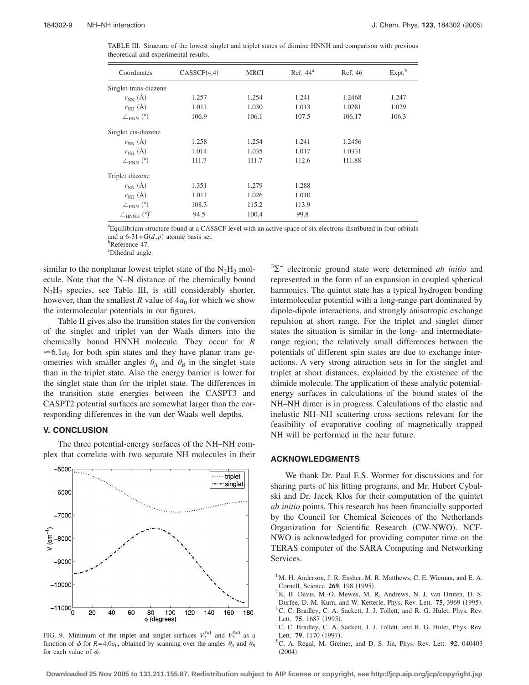TABLE III. Structure of the lowest singlet and triplet states of diimine HNNH and comparison with previous theoretical and experimental results.

| Coordinates                                   | CASSCF(4,4) | <b>MRCI</b> | Ref. $44a$ | Ref. 46 | Expt. <sup>b</sup> |
|-----------------------------------------------|-------------|-------------|------------|---------|--------------------|
| Singlet trans-diazene                         |             |             |            |         |                    |
| $r_{NN}$ (Å)                                  | 1.257       | 1.254       | 1.241      | 1.2468  | 1.247              |
| $r_{NH}$ (Å)                                  | 1.011       | 1.030       | 1.013      | 1.0281  | 1.029              |
| $\angle$ <sub>HNN</sub> $(^{\circ})$          | 106.9       | 106.1       | 107.5      | 106.17  | 106.3              |
| Singlet cis-diazene                           |             |             |            |         |                    |
| $r_{NN}$ (Å)                                  | 1.258       | 1.254       | 1.241      | 1.2456  |                    |
| $r_{NH}$ (Å)                                  | 1.014       | 1.035       | 1.017      | 1.0331  |                    |
| $\angle$ <sub>HNN</sub> $(^{\circ})$          | 111.7       | 111.7       | 112.6      | 111.88  |                    |
| Triplet diazene                               |             |             |            |         |                    |
| $r_{NN}(\AA)$                                 | 1.351       | 1.279       | 1.288      |         |                    |
| $r_{NH}$ (Å)                                  | 1.011       | 1.026       | 1.010      |         |                    |
| $\angle$ <sub>HNN</sub> $(^{\circ})$          | 108.3       | 115.2       | 113.9      |         |                    |
| $\angle$ <sub>HNNH</sub> $(^{\circ})^{\circ}$ | 94.5        | 100.4       | 99.8       |         |                    |

a Equilibrium structure found at a CASSCF level with an active space of six electrons distributed in four orbitals and a  $6-31+G(d,p)$  atomic basis set.<br>b<br>Before 2.47

<sup>b</sup>Reference 47.

c Dihedral angle.

similar to the nonplanar lowest triplet state of the  $N_2H_2$  molecule. Note that the N–N distance of the chemically bound  $N<sub>2</sub>H<sub>2</sub>$  species, see Table III, is still considerably shorter, however, than the smallest *R* value of  $4a_0$  for which we show the intermolecular potentials in our figures.

Table II gives also the transition states for the conversion of the singlet and triplet van der Waals dimers into the chemically bound HNNH molecule. They occur for *R*  $\approx$  6.1 $a_0$  for both spin states and they have planar trans geometries with smaller angles  $\theta_A$  and  $\theta_B$  in the singlet state than in the triplet state. Also the energy barrier is lower for the singlet state than for the triplet state. The differences in the transition state energies between the CASPT3 and CASPT2 potential surfaces are somewhat larger than the corresponding differences in the van der Waals well depths.

### **V. CONCLUSION**

The three potential-energy surfaces of the NH–NH complex that correlate with two separate NH molecules in their

![](_page_8_Figure_11.jpeg)

FIG. 9. Minimum of the triplet and singlet surfaces  $V_2^{S=1}$  and  $V_2^{S=0}$  as a function of  $\phi$  for  $R=4.0a_0$ , obtained by scanning over the angles  $\theta_A$  and  $\theta_B$ for each value of  $\phi$ .

<sup>3</sup>∑<sup>−</sup> electronic ground state were determined *ab initio* and represented in the form of an expansion in coupled spherical harmonics. The quintet state has a typical hydrogen bonding intermolecular potential with a long-range part dominated by dipole-dipole interactions, and strongly anisotropic exchange repulsion at short range. For the triplet and singlet dimer states the situation is similar in the long- and intermediaterange region; the relatively small differences between the potentials of different spin states are due to exchange interactions. A very strong attraction sets in for the singlet and triplet at short distances, explained by the existence of the diimide molecule. The application of these analytic potentialenergy surfaces in calculations of the bound states of the NH–NH dimer is in progress. Calculations of the elastic and inelastic NH–NH scattering cross sections relevant for the feasibility of evaporative cooling of magnetically trapped NH will be performed in the near future.

# **ACKNOWLEDGMENTS**

We thank Dr. Paul E.S. Wormer for discussions and for sharing parts of his fitting programs, and Mr. Hubert Cybulski and Dr. Jacek Kłos for their computation of the quintet *ab initio* points. This research has been financially supported by the Council for Chemical Sciences of the Netherlands Organization for Scientific Research (CW-NWO). NCF-NWO is acknowledged for providing computer time on the TERAS computer of the SARA Computing and Networking Services.

<sup>1</sup>M. H. Anderson, J. R. Ensher, M. R. Matthews, C. E. Wieman, and E. A. Cornell, Science **269**, 198 (1995).

 ${}^{2}$ K. B. Davis, M.-O. Mewes, M. R. Andrews, N. J. van Druten, D. S. Durfee, D. M. Kurn, and W. Ketterle, Phys. Rev. Lett. **75**, 3969 (1995).  ${}^{3}$ C. C. Bradley, C. A. Sackett, J. J. Tollett, and R. G. Hulet, Phys. Rev. Lett. **75**, 1687 (1995).

<sup>4</sup> C. C. Bradley, C. A. Sackett, J. J. Tollett, and R. G. Hulet, Phys. Rev. Lett. **79**, 1170 (1997).

C. A. Regal, M. Greiner, and D. S. Jin, Phys. Rev. Lett. **92**, 040403  $(2004).$ 

**Downloaded 25 Nov 2005 to 131.211.155.87. Redistribution subject to AIP license or copyright, see http://jcp.aip.org/jcp/copyright.jsp**